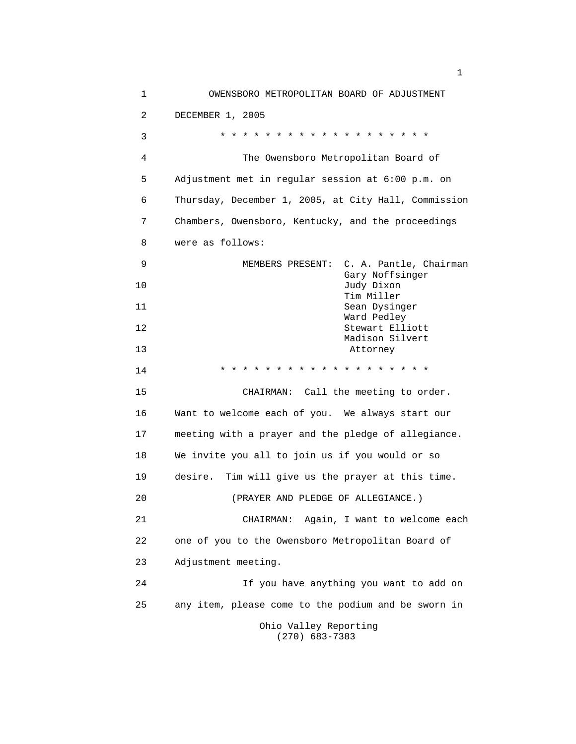1 OWENSBORO METROPOLITAN BOARD OF ADJUSTMENT 2 DECEMBER 1, 2005 3 \* \* \* \* \* \* \* \* \* \* \* \* \* \* \* \* \* \* \* 4 The Owensboro Metropolitan Board of 5 Adjustment met in regular session at 6:00 p.m. on 6 Thursday, December 1, 2005, at City Hall, Commission 7 Chambers, Owensboro, Kentucky, and the proceedings 8 were as follows: 9 MEMBERS PRESENT: C. A. Pantle, Chairman Gary Noffsinger 10 Judy Dixon Tim Miller 11 Sean Dysinger Ward Pedley 12 Stewart Elliott Madison Silvert 13 Attorney 14 \* \* \* \* \* \* \* \* \* \* \* \* \* \* \* \* \* \* \* 15 CHAIRMAN: Call the meeting to order. 16 Want to welcome each of you. We always start our 17 meeting with a prayer and the pledge of allegiance. 18 We invite you all to join us if you would or so 19 desire. Tim will give us the prayer at this time. 20 (PRAYER AND PLEDGE OF ALLEGIANCE.) 21 CHAIRMAN: Again, I want to welcome each 22 one of you to the Owensboro Metropolitan Board of 23 Adjustment meeting. 24 If you have anything you want to add on 25 any item, please come to the podium and be sworn in Ohio Valley Reporting (270) 683-7383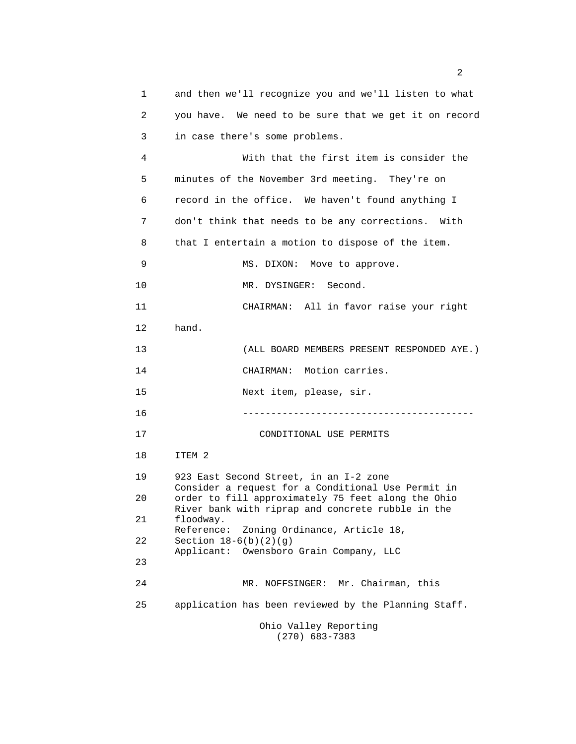1 and then we'll recognize you and we'll listen to what 2 you have. We need to be sure that we get it on record 3 in case there's some problems. 4 With that the first item is consider the 5 minutes of the November 3rd meeting. They're on 6 record in the office. We haven't found anything I 7 don't think that needs to be any corrections. With 8 that I entertain a motion to dispose of the item. 9 MS. DIXON: Move to approve. 10 MR. DYSINGER: Second. 11 CHAIRMAN: All in favor raise your right 12 hand. 13 (ALL BOARD MEMBERS PRESENT RESPONDED AYE.) 14 CHAIRMAN: Motion carries. 15 Next item, please, sir. 16 ----------------------------------------- 17 CONDITIONAL USE PERMITS 18 ITEM 2 19 923 East Second Street, in an I-2 zone Consider a request for a Conditional Use Permit in 20 order to fill approximately 75 feet along the Ohio River bank with riprap and concrete rubble in the 21 floodway. Reference: Zoning Ordinance, Article 18, 22 Section 18-6(b)(2)(g) Applicant: Owensboro Grain Company, LLC 23 24 MR. NOFFSINGER: Mr. Chairman, this 25 application has been reviewed by the Planning Staff. Ohio Valley Reporting (270) 683-7383

 $\sim$  2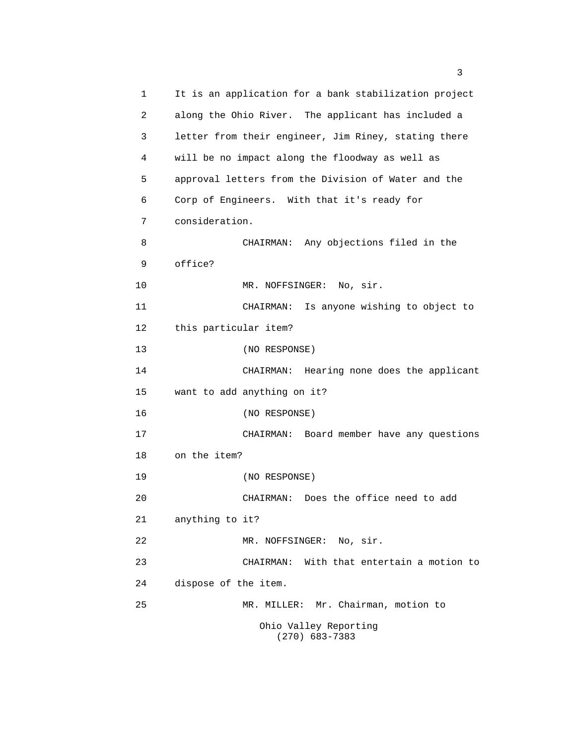1 It is an application for a bank stabilization project 2 along the Ohio River. The applicant has included a 3 letter from their engineer, Jim Riney, stating there 4 will be no impact along the floodway as well as 5 approval letters from the Division of Water and the 6 Corp of Engineers. With that it's ready for 7 consideration. 8 CHAIRMAN: Any objections filed in the 9 office? 10 MR. NOFFSINGER: No, sir. 11 CHAIRMAN: Is anyone wishing to object to 12 this particular item? 13 (NO RESPONSE) 14 CHAIRMAN: Hearing none does the applicant 15 want to add anything on it? 16 (NO RESPONSE) 17 CHAIRMAN: Board member have any questions 18 on the item? 19 (NO RESPONSE) 20 CHAIRMAN: Does the office need to add 21 anything to it? 22 MR. NOFFSINGER: No, sir. 23 CHAIRMAN: With that entertain a motion to 24 dispose of the item. 25 MR. MILLER: Mr. Chairman, motion to Ohio Valley Reporting (270) 683-7383

 $\sim$  3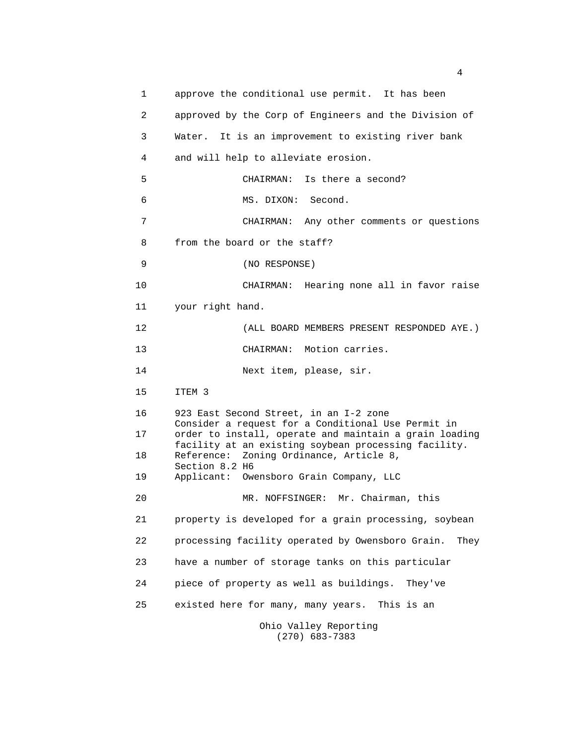| 1  | approve the conditional use permit. It has been                                                              |  |
|----|--------------------------------------------------------------------------------------------------------------|--|
| 2  | approved by the Corp of Engineers and the Division of                                                        |  |
| 3  | It is an improvement to existing river bank<br>Water.                                                        |  |
| 4  | and will help to alleviate erosion.                                                                          |  |
| 5  | CHAIRMAN: Is there a second?                                                                                 |  |
| 6  | MS. DIXON: Second.                                                                                           |  |
| 7  | CHAIRMAN: Any other comments or questions                                                                    |  |
| 8  | from the board or the staff?                                                                                 |  |
| 9  | (NO RESPONSE)                                                                                                |  |
| 10 | CHAIRMAN: Hearing none all in favor raise                                                                    |  |
| 11 | your right hand.                                                                                             |  |
| 12 | (ALL BOARD MEMBERS PRESENT RESPONDED AYE.)                                                                   |  |
| 13 | CHAIRMAN: Motion carries.                                                                                    |  |
| 14 | Next item, please, sir.                                                                                      |  |
| 15 | ITEM 3                                                                                                       |  |
| 16 | 923 East Second Street, in an I-2 zone                                                                       |  |
| 17 | Consider a request for a Conditional Use Permit in<br>order to install, operate and maintain a grain loading |  |
| 18 | facility at an existing soybean processing facility.<br>Reference: Zoning Ordinance, Article 8,              |  |
| 19 | Section 8.2 H6<br>Applicant: Owensboro Grain Company, LLC                                                    |  |
| 20 | MR. NOFFSINGER: Mr. Chairman, this                                                                           |  |
| 21 | property is developed for a grain processing, soybean                                                        |  |
| 22 | processing facility operated by Owensboro Grain.<br>They                                                     |  |
| 23 | have a number of storage tanks on this particular                                                            |  |
| 24 | piece of property as well as buildings.<br>They've                                                           |  |
| 25 | existed here for many, many years.<br>This is an                                                             |  |
|    | Ohio Valley Reporting<br>$(270)$ 683-7383                                                                    |  |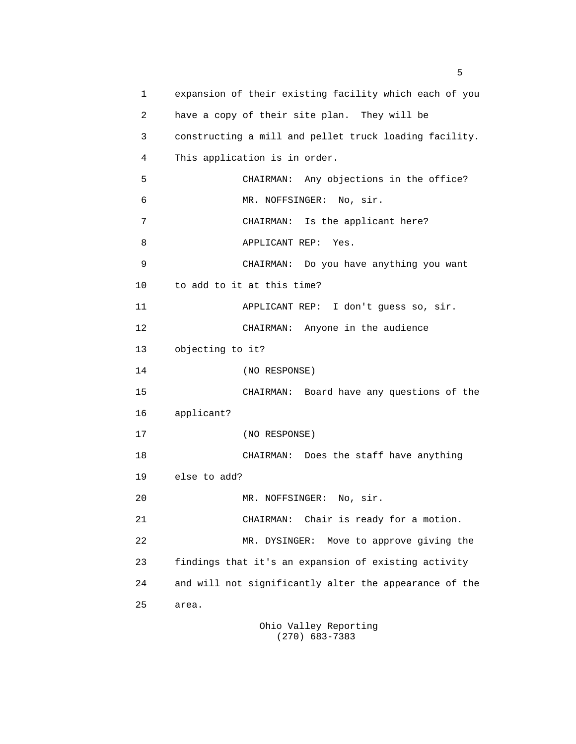1 expansion of their existing facility which each of you 2 have a copy of their site plan. They will be 3 constructing a mill and pellet truck loading facility. 4 This application is in order. 5 CHAIRMAN: Any objections in the office? 6 MR. NOFFSINGER: No, sir. 7 CHAIRMAN: Is the applicant here? 8 APPLICANT REP: Yes. 9 CHAIRMAN: Do you have anything you want 10 to add to it at this time? 11 APPLICANT REP: I don't guess so, sir. 12 CHAIRMAN: Anyone in the audience 13 objecting to it? 14 (NO RESPONSE) 15 CHAIRMAN: Board have any questions of the 16 applicant? 17 (NO RESPONSE) 18 CHAIRMAN: Does the staff have anything 19 else to add? 20 MR. NOFFSINGER: No, sir. 21 CHAIRMAN: Chair is ready for a motion. 22 MR. DYSINGER: Move to approve giving the 23 findings that it's an expansion of existing activity 24 and will not significantly alter the appearance of the 25 area.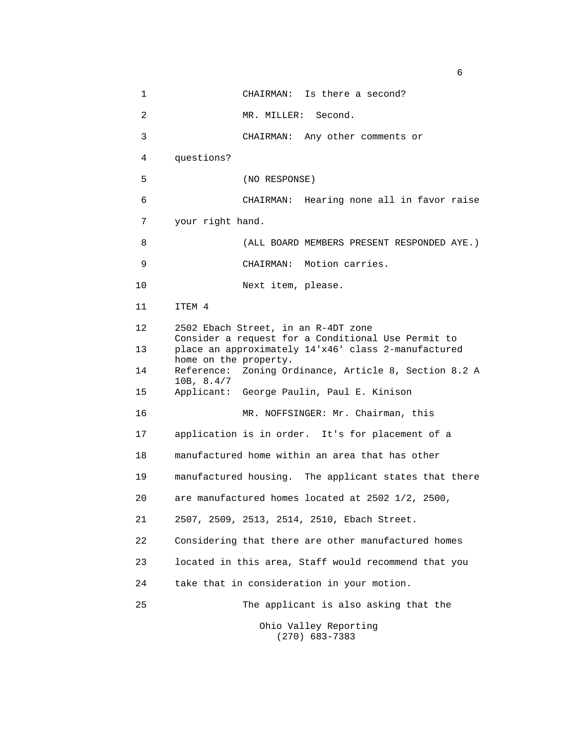1 CHAIRMAN: Is there a second? 2 MR. MILLER: Second. 3 CHAIRMAN: Any other comments or 4 questions? 5 (NO RESPONSE) 6 CHAIRMAN: Hearing none all in favor raise 7 your right hand. 8 (ALL BOARD MEMBERS PRESENT RESPONDED AYE.) 9 CHAIRMAN: Motion carries. 10 Next item, please. 11 ITEM 4 12 2502 Ebach Street, in an R-4DT zone Consider a request for a Conditional Use Permit to 13 place an approximately 14'x46' class 2-manufactured home on the property. 14 Reference: Zoning Ordinance, Article 8, Section 8.2 A 10B, 8.4/7 15 Applicant: George Paulin, Paul E. Kinison 16 MR. NOFFSINGER: Mr. Chairman, this 17 application is in order. It's for placement of a 18 manufactured home within an area that has other 19 manufactured housing. The applicant states that there 20 are manufactured homes located at 2502 1/2, 2500, 21 2507, 2509, 2513, 2514, 2510, Ebach Street. 22 Considering that there are other manufactured homes 23 located in this area, Staff would recommend that you 24 take that in consideration in your motion. 25 The applicant is also asking that the Ohio Valley Reporting (270) 683-7383

 $\sim$  6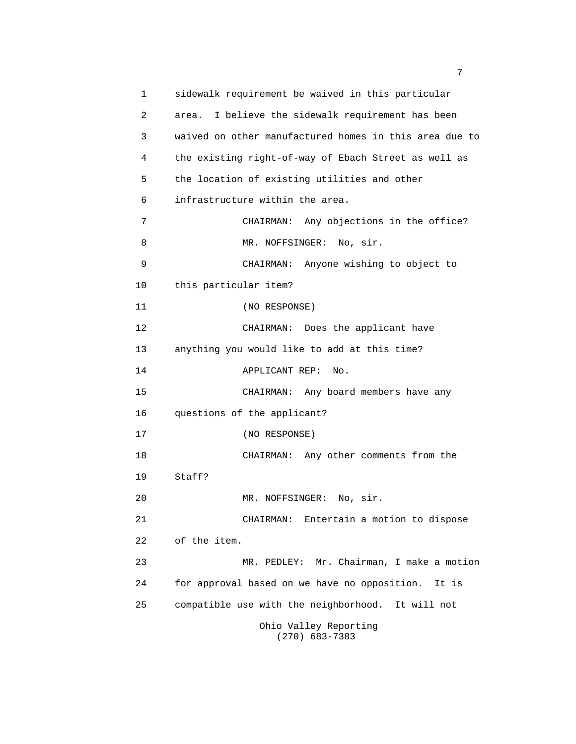1 sidewalk requirement be waived in this particular 2 area. I believe the sidewalk requirement has been 3 waived on other manufactured homes in this area due to 4 the existing right-of-way of Ebach Street as well as 5 the location of existing utilities and other 6 infrastructure within the area. 7 CHAIRMAN: Any objections in the office? 8 MR. NOFFSINGER: No, sir. 9 CHAIRMAN: Anyone wishing to object to 10 this particular item? 11 (NO RESPONSE) 12 CHAIRMAN: Does the applicant have 13 anything you would like to add at this time? 14 APPLICANT REP: No. 15 CHAIRMAN: Any board members have any 16 questions of the applicant? 17 (NO RESPONSE) 18 CHAIRMAN: Any other comments from the 19 Staff? 20 MR. NOFFSINGER: No, sir. 21 CHAIRMAN: Entertain a motion to dispose 22 of the item. 23 MR. PEDLEY: Mr. Chairman, I make a motion 24 for approval based on we have no opposition. It is 25 compatible use with the neighborhood. It will not Ohio Valley Reporting (270) 683-7383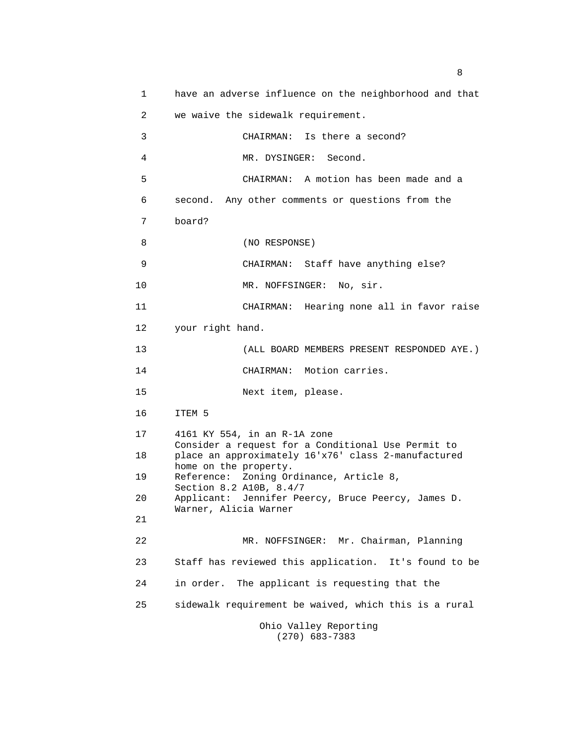1 have an adverse influence on the neighborhood and that 2 we waive the sidewalk requirement. 3 CHAIRMAN: Is there a second? 4 MR. DYSINGER: Second. 5 CHAIRMAN: A motion has been made and a 6 second. Any other comments or questions from the 7 board? 8 (NO RESPONSE) 9 CHAIRMAN: Staff have anything else? 10 MR. NOFFSINGER: No, sir. 11 CHAIRMAN: Hearing none all in favor raise 12 your right hand. 13 (ALL BOARD MEMBERS PRESENT RESPONDED AYE.) 14 CHAIRMAN: Motion carries. 15 Next item, please. 16 ITEM 5 17 4161 KY 554, in an R-1A zone Consider a request for a Conditional Use Permit to 18 place an approximately 16'x76' class 2-manufactured home on the property. 19 Reference: Zoning Ordinance, Article 8, Section 8.2 A10B, 8.4/7 20 Applicant: Jennifer Peercy, Bruce Peercy, James D. Warner, Alicia Warner 21 22 MR. NOFFSINGER: Mr. Chairman, Planning 23 Staff has reviewed this application. It's found to be 24 in order. The applicant is requesting that the 25 sidewalk requirement be waived, which this is a rural Ohio Valley Reporting (270) 683-7383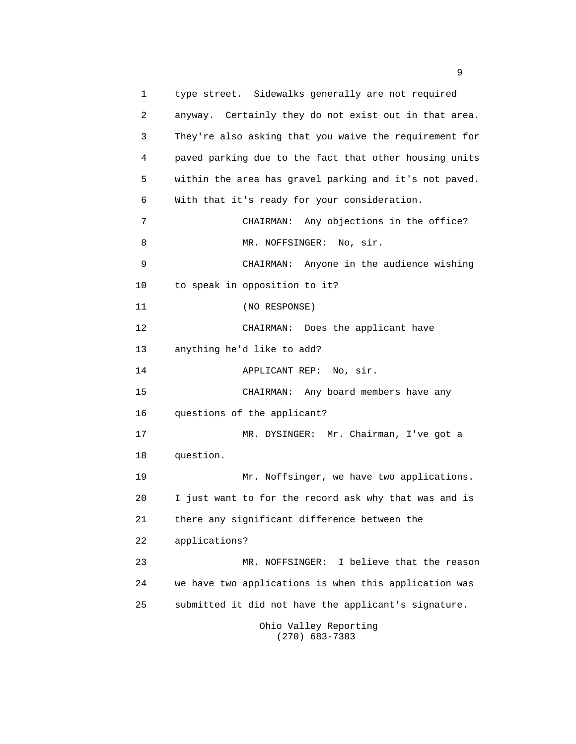1 type street. Sidewalks generally are not required 2 anyway. Certainly they do not exist out in that area. 3 They're also asking that you waive the requirement for 4 paved parking due to the fact that other housing units 5 within the area has gravel parking and it's not paved. 6 With that it's ready for your consideration. 7 CHAIRMAN: Any objections in the office? 8 MR. NOFFSINGER: No, sir. 9 CHAIRMAN: Anyone in the audience wishing 10 to speak in opposition to it? 11 (NO RESPONSE) 12 CHAIRMAN: Does the applicant have 13 anything he'd like to add? 14 APPLICANT REP: No, sir. 15 CHAIRMAN: Any board members have any 16 questions of the applicant? 17 MR. DYSINGER: Mr. Chairman, I've got a 18 question. 19 Mr. Noffsinger, we have two applications. 20 I just want to for the record ask why that was and is 21 there any significant difference between the 22 applications? 23 MR. NOFFSINGER: I believe that the reason 24 we have two applications is when this application was 25 submitted it did not have the applicant's signature. Ohio Valley Reporting (270) 683-7383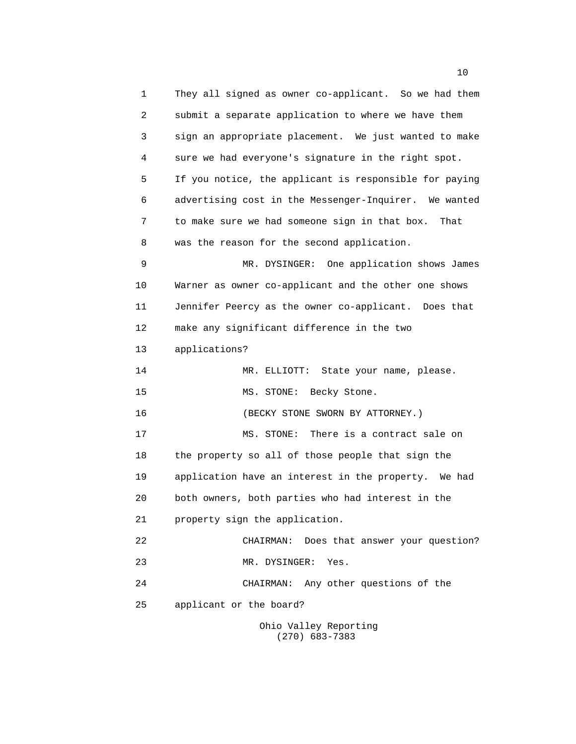1 They all signed as owner co-applicant. So we had them 2 submit a separate application to where we have them 3 sign an appropriate placement. We just wanted to make 4 sure we had everyone's signature in the right spot. 5 If you notice, the applicant is responsible for paying 6 advertising cost in the Messenger-Inquirer. We wanted 7 to make sure we had someone sign in that box. That 8 was the reason for the second application. 9 MR. DYSINGER: One application shows James 10 Warner as owner co-applicant and the other one shows 11 Jennifer Peercy as the owner co-applicant. Does that 12 make any significant difference in the two 13 applications? 14 MR. ELLIOTT: State your name, please. 15 MS. STONE: Becky Stone. 16 (BECKY STONE SWORN BY ATTORNEY.) 17 MS. STONE: There is a contract sale on 18 the property so all of those people that sign the 19 application have an interest in the property. We had 20 both owners, both parties who had interest in the 21 property sign the application. 22 CHAIRMAN: Does that answer your question? 23 MR. DYSINGER: Yes. 24 CHAIRMAN: Any other questions of the 25 applicant or the board? Ohio Valley Reporting (270) 683-7383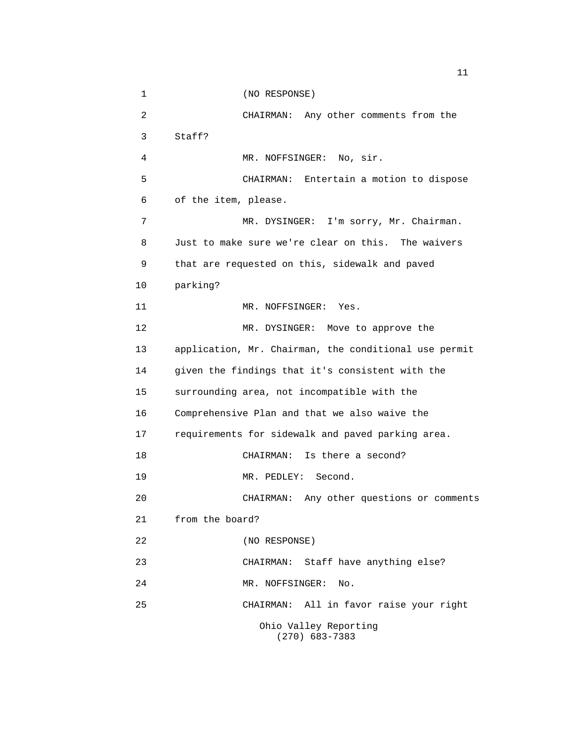1 (NO RESPONSE) 2 CHAIRMAN: Any other comments from the 3 Staff? 4 MR. NOFFSINGER: No, sir. 5 CHAIRMAN: Entertain a motion to dispose 6 of the item, please. 7 MR. DYSINGER: I'm sorry, Mr. Chairman. 8 Just to make sure we're clear on this. The waivers 9 that are requested on this, sidewalk and paved 10 parking? 11 MR. NOFFSINGER: Yes. 12 MR. DYSINGER: Move to approve the 13 application, Mr. Chairman, the conditional use permit 14 given the findings that it's consistent with the 15 surrounding area, not incompatible with the 16 Comprehensive Plan and that we also waive the 17 requirements for sidewalk and paved parking area. 18 CHAIRMAN: Is there a second? 19 MR. PEDLEY: Second. 20 CHAIRMAN: Any other questions or comments 21 from the board? 22 (NO RESPONSE) 23 CHAIRMAN: Staff have anything else? 24 MR. NOFFSINGER: No. 25 CHAIRMAN: All in favor raise your right Ohio Valley Reporting (270) 683-7383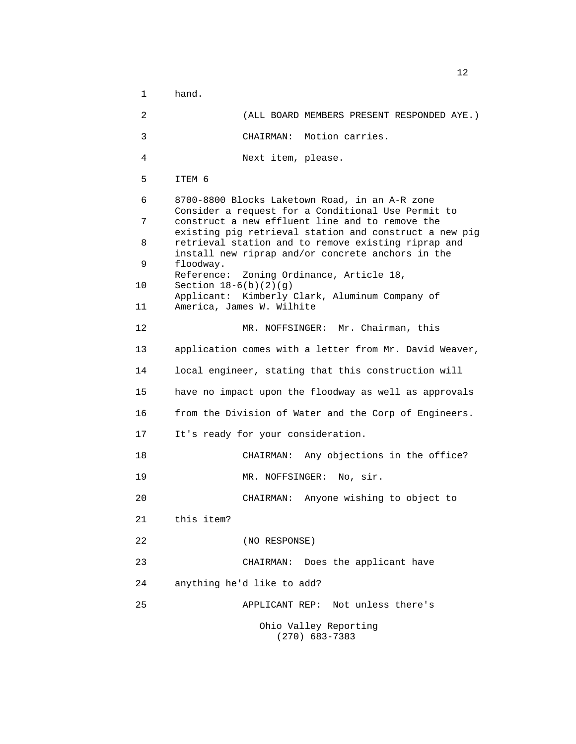1 hand. 2 (ALL BOARD MEMBERS PRESENT RESPONDED AYE.) 3 CHAIRMAN: Motion carries. 4 Next item, please. 5 ITEM 6 6 8700-8800 Blocks Laketown Road, in an A-R zone Consider a request for a Conditional Use Permit to 7 construct a new effluent line and to remove the existing pig retrieval station and construct a new pig 8 retrieval station and to remove existing riprap and install new riprap and/or concrete anchors in the 9 floodway. Reference: Zoning Ordinance, Article 18, 10 Section 18-6(b)(2)(g) Applicant: Kimberly Clark, Aluminum Company of 11 America, James W. Wilhite 12 MR. NOFFSINGER: Mr. Chairman, this 13 application comes with a letter from Mr. David Weaver, 14 local engineer, stating that this construction will 15 have no impact upon the floodway as well as approvals 16 from the Division of Water and the Corp of Engineers. 17 It's ready for your consideration. 18 CHAIRMAN: Any objections in the office? 19 MR. NOFFSINGER: No, sir. 20 CHAIRMAN: Anyone wishing to object to 21 this item? 22 (NO RESPONSE) 23 CHAIRMAN: Does the applicant have 24 anything he'd like to add? 25 APPLICANT REP: Not unless there's Ohio Valley Reporting (270) 683-7383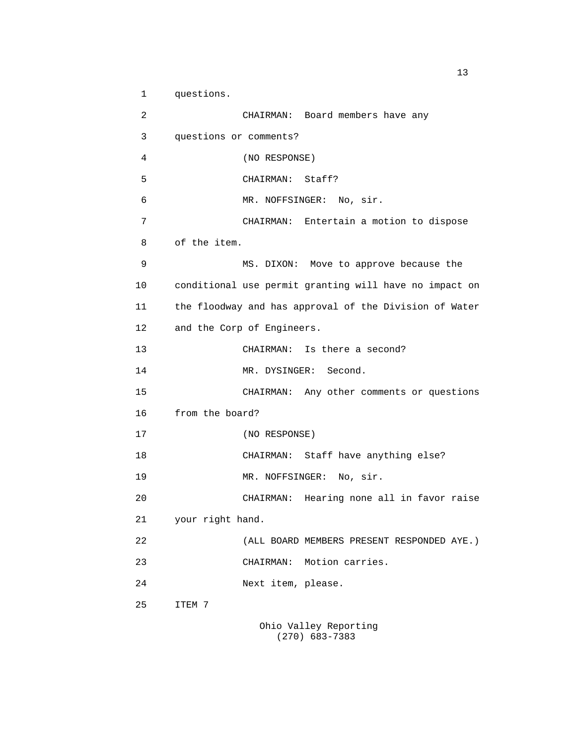1 questions. 2 CHAIRMAN: Board members have any 3 questions or comments? 4 (NO RESPONSE) 5 CHAIRMAN: Staff? 6 MR. NOFFSINGER: No, sir. 7 CHAIRMAN: Entertain a motion to dispose 8 of the item. 9 MS. DIXON: Move to approve because the 10 conditional use permit granting will have no impact on 11 the floodway and has approval of the Division of Water 12 and the Corp of Engineers. 13 CHAIRMAN: Is there a second? 14 MR. DYSINGER: Second. 15 CHAIRMAN: Any other comments or questions 16 from the board? 17 (NO RESPONSE) 18 CHAIRMAN: Staff have anything else? 19 MR. NOFFSINGER: No, sir. 20 CHAIRMAN: Hearing none all in favor raise 21 your right hand. 22 (ALL BOARD MEMBERS PRESENT RESPONDED AYE.) 23 CHAIRMAN: Motion carries. 24 Next item, please. 25 ITEM 7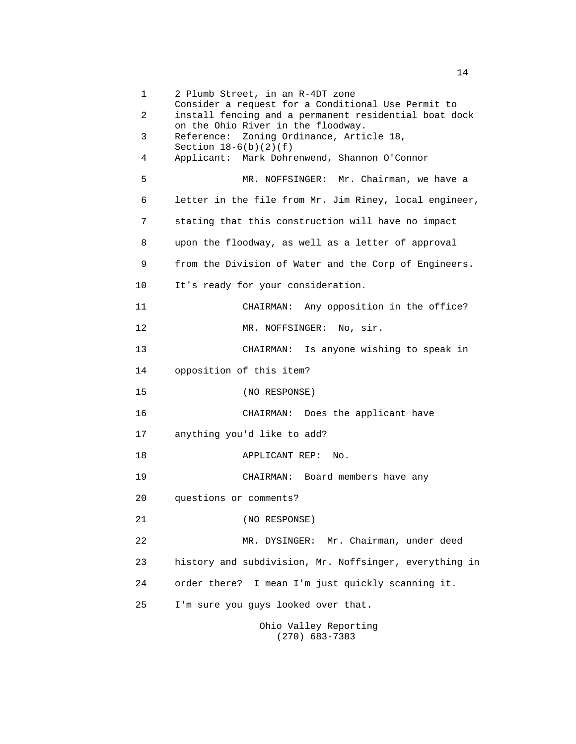1 2 Plumb Street, in an R-4DT zone Consider a request for a Conditional Use Permit to 2 install fencing and a permanent residential boat dock on the Ohio River in the floodway. 3 Reference: Zoning Ordinance, Article 18, Section  $18-6(b)(2)(f)$  4 Applicant: Mark Dohrenwend, Shannon O'Connor 5 MR. NOFFSINGER: Mr. Chairman, we have a 6 letter in the file from Mr. Jim Riney, local engineer, 7 stating that this construction will have no impact 8 upon the floodway, as well as a letter of approval 9 from the Division of Water and the Corp of Engineers. 10 It's ready for your consideration. 11 CHAIRMAN: Any opposition in the office? 12 MR. NOFFSINGER: No, sir. 13 CHAIRMAN: Is anyone wishing to speak in 14 opposition of this item? 15 (NO RESPONSE) 16 CHAIRMAN: Does the applicant have 17 anything you'd like to add? 18 APPLICANT REP: No. 19 CHAIRMAN: Board members have any 20 questions or comments? 21 (NO RESPONSE) 22 MR. DYSINGER: Mr. Chairman, under deed 23 history and subdivision, Mr. Noffsinger, everything in 24 order there? I mean I'm just quickly scanning it. 25 I'm sure you guys looked over that. Ohio Valley Reporting

(270) 683-7383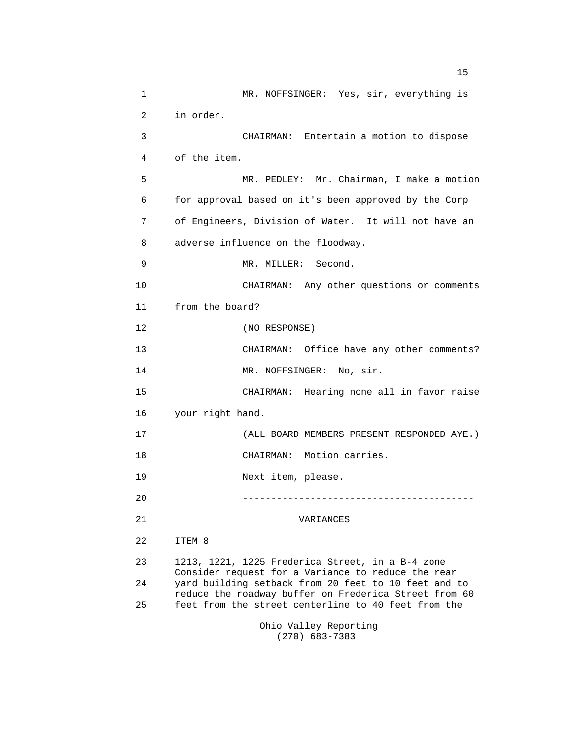1 MR. NOFFSINGER: Yes, sir, everything is 2 in order. 3 CHAIRMAN: Entertain a motion to dispose 4 of the item. 5 MR. PEDLEY: Mr. Chairman, I make a motion 6 for approval based on it's been approved by the Corp 7 of Engineers, Division of Water. It will not have an 8 adverse influence on the floodway. 9 MR. MILLER: Second. 10 CHAIRMAN: Any other questions or comments 11 from the board? 12 (NO RESPONSE) 13 CHAIRMAN: Office have any other comments? 14 MR. NOFFSINGER: No, sir. 15 CHAIRMAN: Hearing none all in favor raise 16 your right hand. 17 (ALL BOARD MEMBERS PRESENT RESPONDED AYE.) 18 CHAIRMAN: Motion carries. 19 Next item, please. 20 ----------------------------------------- 21 VARIANCES 22 ITEM 8 23 1213, 1221, 1225 Frederica Street, in a B-4 zone Consider request for a Variance to reduce the rear 24 yard building setback from 20 feet to 10 feet and to reduce the roadway buffer on Frederica Street from 60 25 feet from the street centerline to 40 feet from the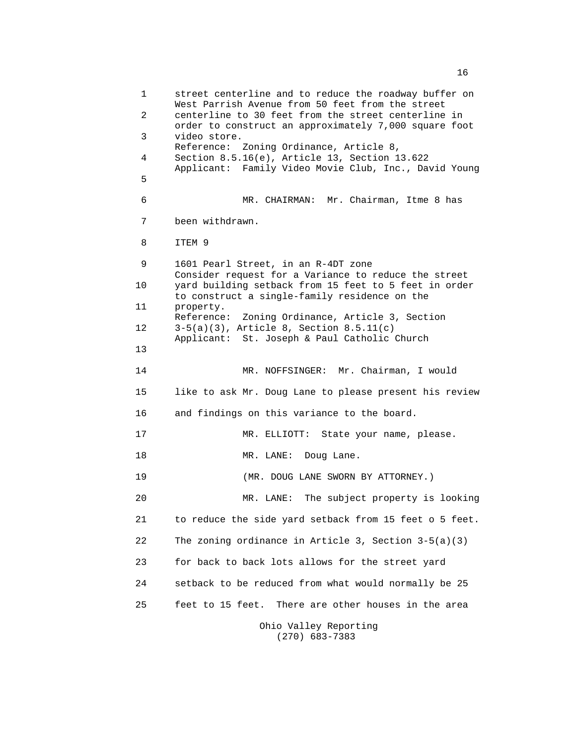1 street centerline and to reduce the roadway buffer on West Parrish Avenue from 50 feet from the street 2 centerline to 30 feet from the street centerline in order to construct an approximately 7,000 square foot 3 video store. Reference: Zoning Ordinance, Article 8, 4 Section 8.5.16(e), Article 13, Section 13.622 Applicant: Family Video Movie Club, Inc., David Young **5 5**  6 MR. CHAIRMAN: Mr. Chairman, Itme 8 has 7 been withdrawn. 8 ITEM 9 9 1601 Pearl Street, in an R-4DT zone Consider request for a Variance to reduce the street 10 yard building setback from 15 feet to 5 feet in order to construct a single-family residence on the 11 property. Reference: Zoning Ordinance, Article 3, Section 12 3-5(a)(3), Article 8, Section 8.5.11(c) Applicant: St. Joseph & Paul Catholic Church 13 14 MR. NOFFSINGER: Mr. Chairman, I would 15 like to ask Mr. Doug Lane to please present his review 16 and findings on this variance to the board. 17 MR. ELLIOTT: State your name, please. 18 MR. LANE: Doug Lane. 19 (MR. DOUG LANE SWORN BY ATTORNEY.) 20 MR. LANE: The subject property is looking 21 to reduce the side yard setback from 15 feet o 5 feet. 22 The zoning ordinance in Article 3, Section 3-5(a)(3) 23 for back to back lots allows for the street yard 24 setback to be reduced from what would normally be 25 25 feet to 15 feet. There are other houses in the area Ohio Valley Reporting (270) 683-7383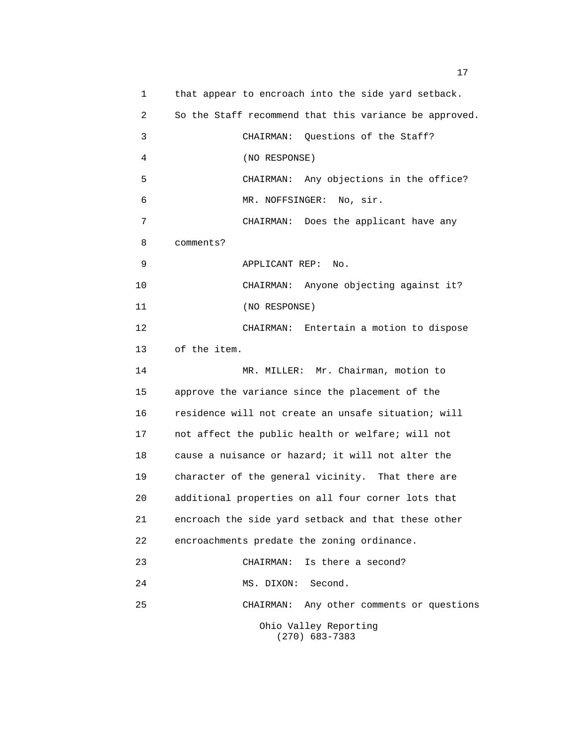| 1              | that appear to encroach into the side yard setback.    |
|----------------|--------------------------------------------------------|
| $\overline{2}$ | So the Staff recommend that this variance be approved. |
| 3              | CHAIRMAN: Questions of the Staff?                      |
| 4              | (NO RESPONSE)                                          |
| 5              | CHAIRMAN: Any objections in the office?                |
| 6              | MR. NOFFSINGER: No, sir.                               |
| 7              | CHAIRMAN: Does the applicant have any                  |
| 8              | comments?                                              |
| 9              | APPLICANT REP:<br>No.                                  |
| 10             | CHAIRMAN: Anyone objecting against it?                 |
| 11             | (NO RESPONSE)                                          |
| 12             | CHAIRMAN: Entertain a motion to dispose                |
| 13             | of the item.                                           |
| 14             | MR. MILLER: Mr. Chairman, motion to                    |
| 15             | approve the variance since the placement of the        |
| 16             | residence will not create an unsafe situation; will    |
| 17             | not affect the public health or welfare; will not      |
| 18             | cause a nuisance or hazard; it will not alter the      |
| 19             | character of the general vicinity. That there are      |
| 20             | additional properties on all four corner lots that     |
| 21             | encroach the side yard setback and that these other    |
| 22             | encroachments predate the zoning ordinance.            |
| 23             | Is there a second?<br>CHAIRMAN:                        |
| 24             | Second.<br>MS. DIXON:                                  |
| 25             | Any other comments or questions<br>CHAIRMAN:           |
|                | Ohio Valley Reporting<br>$(270)$ 683-7383              |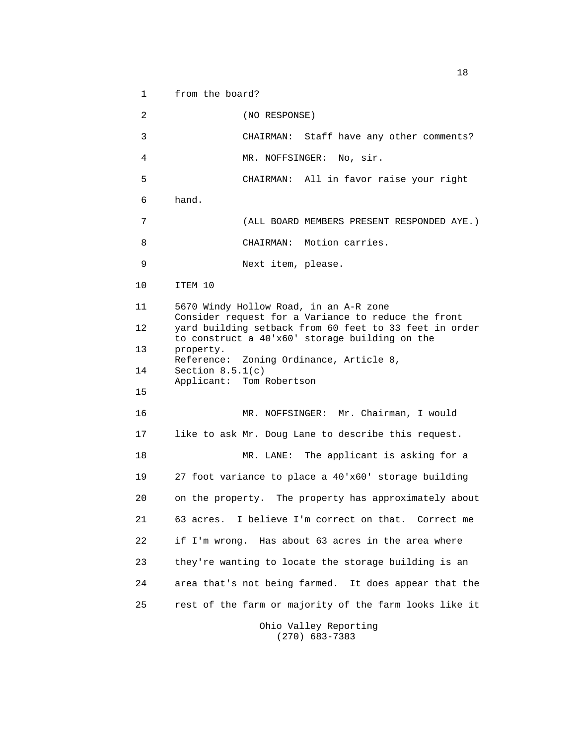1 from the board?

 2 (NO RESPONSE) 3 CHAIRMAN: Staff have any other comments? 4 MR. NOFFSINGER: No, sir. 5 CHAIRMAN: All in favor raise your right 6 hand. 7 (ALL BOARD MEMBERS PRESENT RESPONDED AYE.) 8 CHAIRMAN: Motion carries. 9 Next item, please. 10 ITEM 10 11 5670 Windy Hollow Road, in an A-R zone Consider request for a Variance to reduce the front 12 yard building setback from 60 feet to 33 feet in order to construct a 40'x60' storage building on the 13 property. Reference: Zoning Ordinance, Article 8, 14 Section 8.5.1(c) Applicant: Tom Robertson 15 16 MR. NOFFSINGER: Mr. Chairman, I would 17 like to ask Mr. Doug Lane to describe this request. 18 MR. LANE: The applicant is asking for a 19 27 foot variance to place a 40'x60' storage building 20 on the property. The property has approximately about 21 63 acres. I believe I'm correct on that. Correct me 22 if I'm wrong. Has about 63 acres in the area where 23 they're wanting to locate the storage building is an 24 area that's not being farmed. It does appear that the 25 rest of the farm or majority of the farm looks like it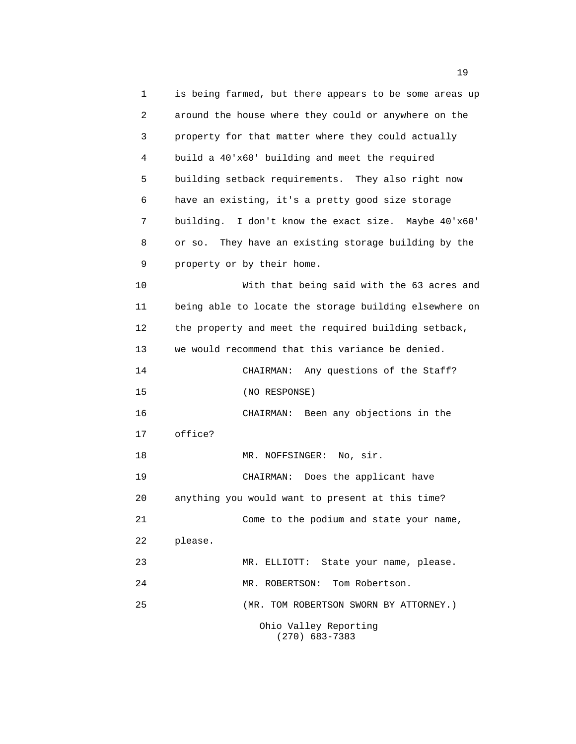1 is being farmed, but there appears to be some areas up 2 around the house where they could or anywhere on the 3 property for that matter where they could actually 4 build a 40'x60' building and meet the required 5 building setback requirements. They also right now 6 have an existing, it's a pretty good size storage 7 building. I don't know the exact size. Maybe 40'x60' 8 or so. They have an existing storage building by the 9 property or by their home. 10 With that being said with the 63 acres and 11 being able to locate the storage building elsewhere on 12 the property and meet the required building setback, 13 we would recommend that this variance be denied. 14 CHAIRMAN: Any questions of the Staff? 15 (NO RESPONSE) 16 CHAIRMAN: Been any objections in the 17 office? 18 MR. NOFFSINGER: No, sir. 19 CHAIRMAN: Does the applicant have 20 anything you would want to present at this time? 21 Come to the podium and state your name, 22 please. 23 MR. ELLIOTT: State your name, please. 24 MR. ROBERTSON: Tom Robertson. 25 (MR. TOM ROBERTSON SWORN BY ATTORNEY.) Ohio Valley Reporting (270) 683-7383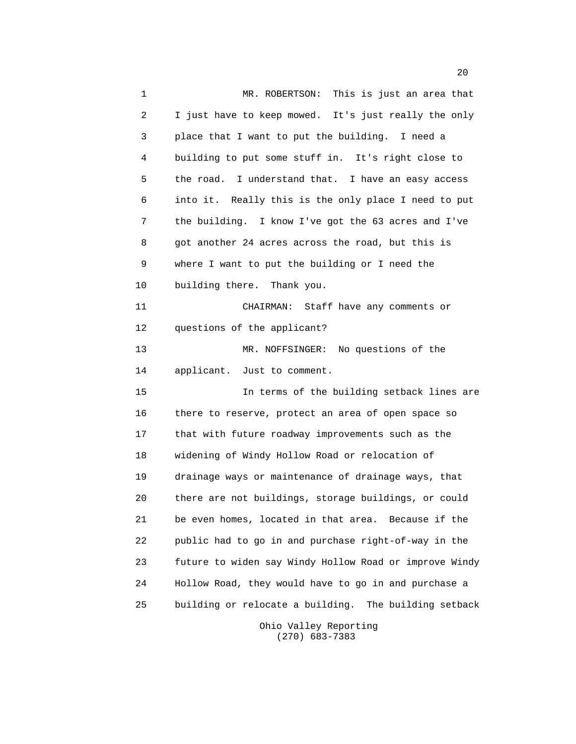1 MR. ROBERTSON: This is just an area that 2 I just have to keep mowed. It's just really the only 3 place that I want to put the building. I need a 4 building to put some stuff in. It's right close to 5 the road. I understand that. I have an easy access 6 into it. Really this is the only place I need to put 7 the building. I know I've got the 63 acres and I've 8 got another 24 acres across the road, but this is 9 where I want to put the building or I need the 10 building there. Thank you. 11 CHAIRMAN: Staff have any comments or 12 questions of the applicant? 13 MR. NOFFSINGER: No questions of the 14 applicant. Just to comment. 15 In terms of the building setback lines are 16 there to reserve, protect an area of open space so 17 that with future roadway improvements such as the 18 widening of Windy Hollow Road or relocation of 19 drainage ways or maintenance of drainage ways, that 20 there are not buildings, storage buildings, or could 21 be even homes, located in that area. Because if the 22 public had to go in and purchase right-of-way in the 23 future to widen say Windy Hollow Road or improve Windy 24 Hollow Road, they would have to go in and purchase a 25 building or relocate a building. The building setback

 Ohio Valley Reporting (270) 683-7383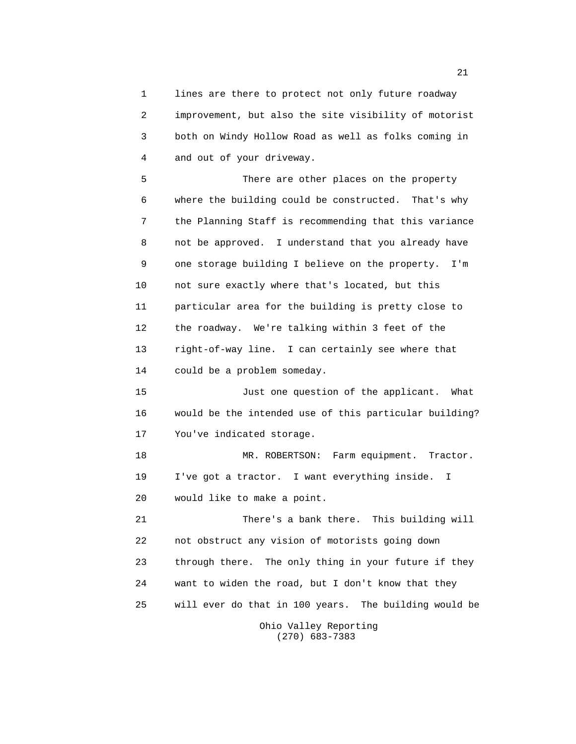1 lines are there to protect not only future roadway 2 improvement, but also the site visibility of motorist 3 both on Windy Hollow Road as well as folks coming in 4 and out of your driveway.

 5 There are other places on the property 6 where the building could be constructed. That's why 7 the Planning Staff is recommending that this variance 8 not be approved. I understand that you already have 9 one storage building I believe on the property. I'm 10 not sure exactly where that's located, but this 11 particular area for the building is pretty close to 12 the roadway. We're talking within 3 feet of the 13 right-of-way line. I can certainly see where that 14 could be a problem someday.

 15 Just one question of the applicant. What 16 would be the intended use of this particular building? 17 You've indicated storage.

 18 MR. ROBERTSON: Farm equipment. Tractor. 19 I've got a tractor. I want everything inside. I 20 would like to make a point.

 21 There's a bank there. This building will 22 not obstruct any vision of motorists going down 23 through there. The only thing in your future if they 24 want to widen the road, but I don't know that they 25 will ever do that in 100 years. The building would be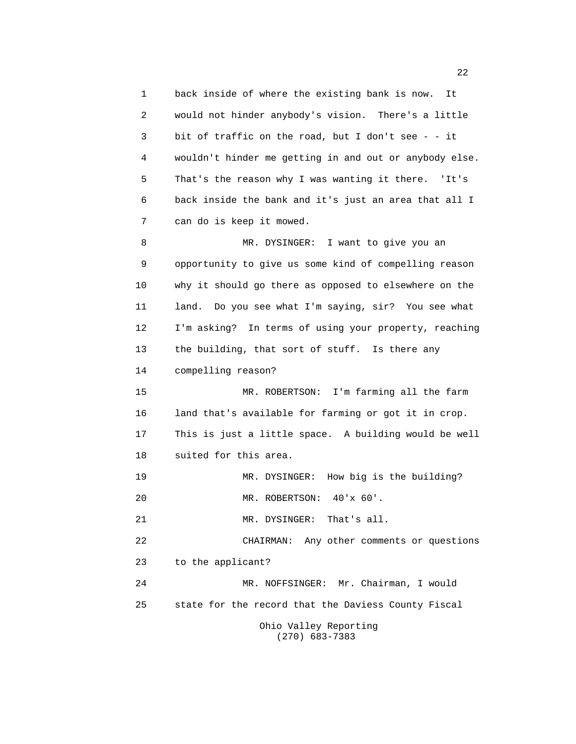1 back inside of where the existing bank is now. It 2 would not hinder anybody's vision. There's a little 3 bit of traffic on the road, but I don't see - - it 4 wouldn't hinder me getting in and out or anybody else. 5 That's the reason why I was wanting it there. 'It's 6 back inside the bank and it's just an area that all I 7 can do is keep it mowed. 8 MR. DYSINGER: I want to give you an 9 opportunity to give us some kind of compelling reason 10 why it should go there as opposed to elsewhere on the 11 land. Do you see what I'm saying, sir? You see what 12 I'm asking? In terms of using your property, reaching 13 the building, that sort of stuff. Is there any 14 compelling reason? 15 MR. ROBERTSON: I'm farming all the farm 16 land that's available for farming or got it in crop. 17 This is just a little space. A building would be well 18 suited for this area. 19 MR. DYSINGER: How big is the building? 20 MR. ROBERTSON: 40'x 60'. 21 MR. DYSINGER: That's all. 22 CHAIRMAN: Any other comments or questions 23 to the applicant? 24 MR. NOFFSINGER: Mr. Chairman, I would 25 state for the record that the Daviess County Fiscal Ohio Valley Reporting (270) 683-7383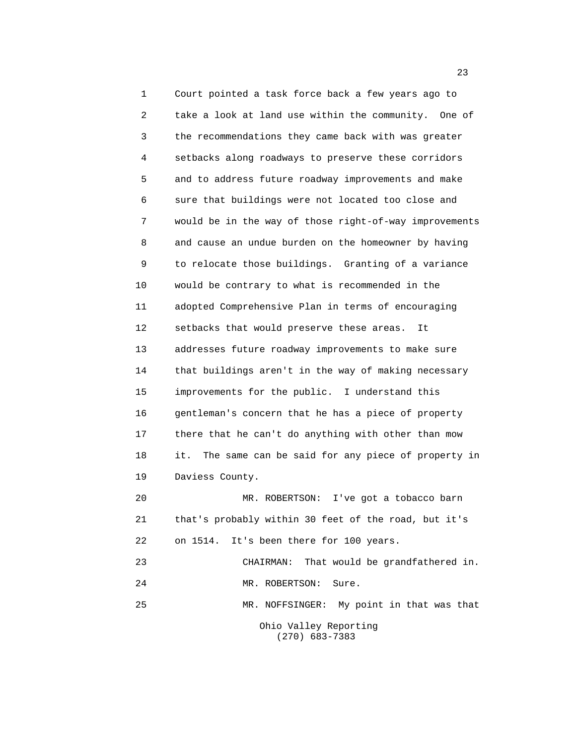1 Court pointed a task force back a few years ago to 2 take a look at land use within the community. One of 3 the recommendations they came back with was greater 4 setbacks along roadways to preserve these corridors 5 and to address future roadway improvements and make 6 sure that buildings were not located too close and 7 would be in the way of those right-of-way improvements 8 and cause an undue burden on the homeowner by having 9 to relocate those buildings. Granting of a variance 10 would be contrary to what is recommended in the 11 adopted Comprehensive Plan in terms of encouraging 12 setbacks that would preserve these areas. It 13 addresses future roadway improvements to make sure 14 that buildings aren't in the way of making necessary 15 improvements for the public. I understand this 16 gentleman's concern that he has a piece of property 17 there that he can't do anything with other than mow 18 it. The same can be said for any piece of property in 19 Daviess County. 20 MR. ROBERTSON: I've got a tobacco barn 21 that's probably within 30 feet of the road, but it's 22 on 1514. It's been there for 100 years.

23 CHAIRMAN: That would be grandfathered in.

24 MR. ROBERTSON: Sure.

 25 MR. NOFFSINGER: My point in that was that Ohio Valley Reporting (270) 683-7383

23 and 23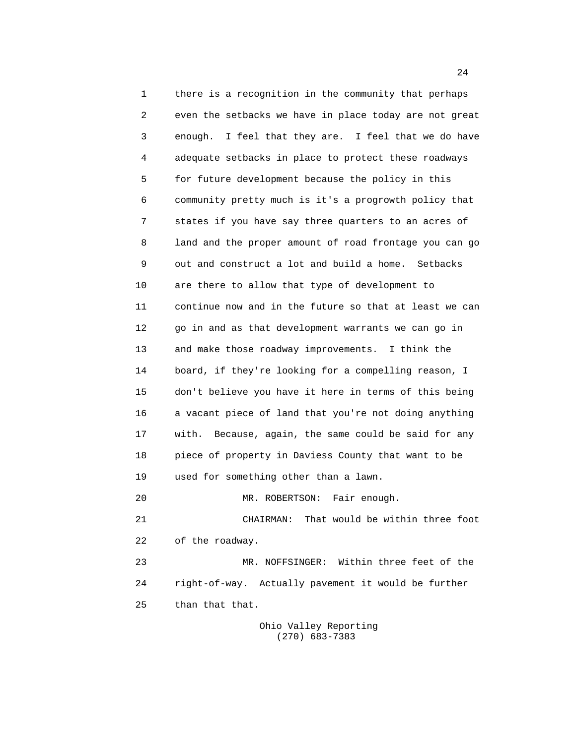1 there is a recognition in the community that perhaps 2 even the setbacks we have in place today are not great 3 enough. I feel that they are. I feel that we do have 4 adequate setbacks in place to protect these roadways 5 for future development because the policy in this 6 community pretty much is it's a progrowth policy that 7 states if you have say three quarters to an acres of 8 land and the proper amount of road frontage you can go 9 out and construct a lot and build a home. Setbacks 10 are there to allow that type of development to 11 continue now and in the future so that at least we can 12 go in and as that development warrants we can go in 13 and make those roadway improvements. I think the 14 board, if they're looking for a compelling reason, I 15 don't believe you have it here in terms of this being 16 a vacant piece of land that you're not doing anything 17 with. Because, again, the same could be said for any 18 piece of property in Daviess County that want to be 19 used for something other than a lawn. 20 MR. ROBERTSON: Fair enough. 21 CHAIRMAN: That would be within three foot 22 of the roadway. 23 MR. NOFFSINGER: Within three feet of the 24 right-of-way. Actually pavement it would be further 25 than that that.

> Ohio Valley Reporting (270) 683-7383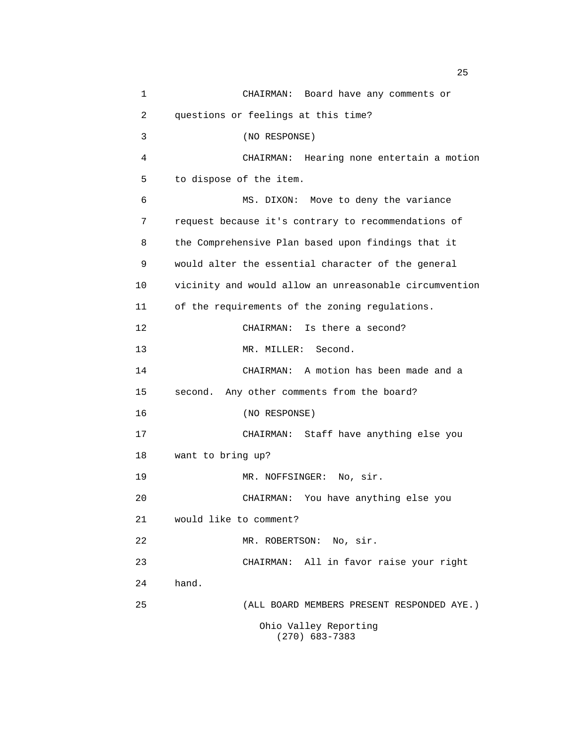| $\mathbf 1$ | CHAIRMAN: Board have any comments or                   |
|-------------|--------------------------------------------------------|
| 2           | questions or feelings at this time?                    |
| 3           | (NO RESPONSE)                                          |
| 4           | CHAIRMAN: Hearing none entertain a motion              |
| 5           | to dispose of the item.                                |
| 6           | MS. DIXON: Move to deny the variance                   |
| 7           | request because it's contrary to recommendations of    |
| 8           | the Comprehensive Plan based upon findings that it     |
| 9           | would alter the essential character of the general     |
| 10          | vicinity and would allow an unreasonable circumvention |
| 11          | of the requirements of the zoning regulations.         |
| 12          | CHAIRMAN: Is there a second?                           |
| 13          | MR. MILLER: Second.                                    |
| 14          | CHAIRMAN: A motion has been made and a                 |
| 15          | second. Any other comments from the board?             |
| 16          | (NO RESPONSE)                                          |
| 17          | CHAIRMAN: Staff have anything else you                 |
| 18          | want to bring up?                                      |
| 19          | MR. NOFFSINGER: No, sir.                               |
| 20          | CHAIRMAN: You have anything else you                   |
| 21          | would like to comment?                                 |
| 22          | MR. ROBERTSON: No, sir.                                |
| 23          | CHAIRMAN: All in favor raise your right                |
| 24          | hand.                                                  |
| 25          | (ALL BOARD MEMBERS PRESENT RESPONDED AYE.)             |
|             | Ohio Valley Reporting<br>$(270)$ 683-7383              |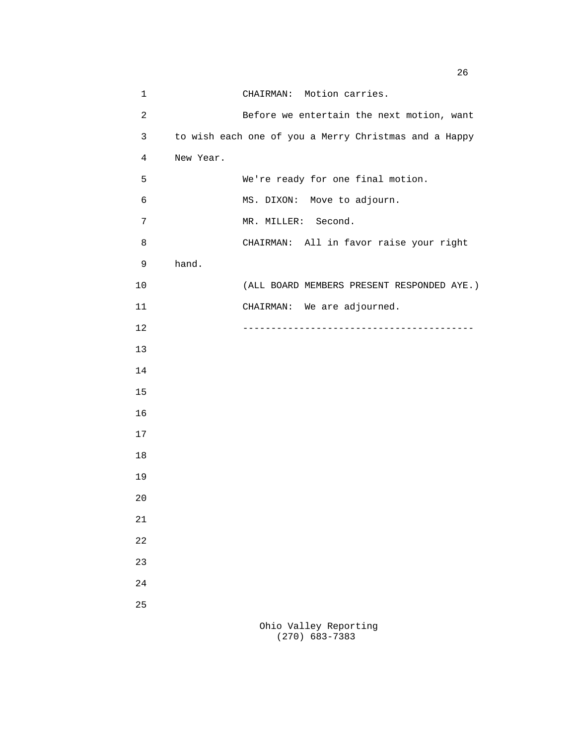| 1              |           | CHAIRMAN: Motion carries.                             |
|----------------|-----------|-------------------------------------------------------|
| $\overline{c}$ |           | Before we entertain the next motion, want             |
| 3              |           | to wish each one of you a Merry Christmas and a Happy |
| 4              | New Year. |                                                       |
| 5              |           | We're ready for one final motion.                     |
| 6              |           | MS. DIXON: Move to adjourn.                           |
| 7              |           | MR. MILLER: Second.                                   |
| 8              |           | CHAIRMAN: All in favor raise your right               |
| 9              | hand.     |                                                       |
| 10             |           | (ALL BOARD MEMBERS PRESENT RESPONDED AYE.)            |
| 11             |           | CHAIRMAN: We are adjourned.                           |
| 12             |           |                                                       |
| 13             |           |                                                       |
| 14             |           |                                                       |
| 15             |           |                                                       |
| 16             |           |                                                       |
| 17             |           |                                                       |
| 18             |           |                                                       |
| 19             |           |                                                       |
| 20             |           |                                                       |
| 21             |           |                                                       |
| 22             |           |                                                       |
| 23             |           |                                                       |
| 24             |           |                                                       |
| 25             |           |                                                       |
|                |           | Ohio Valley Reporting                                 |

(270) 683-7383